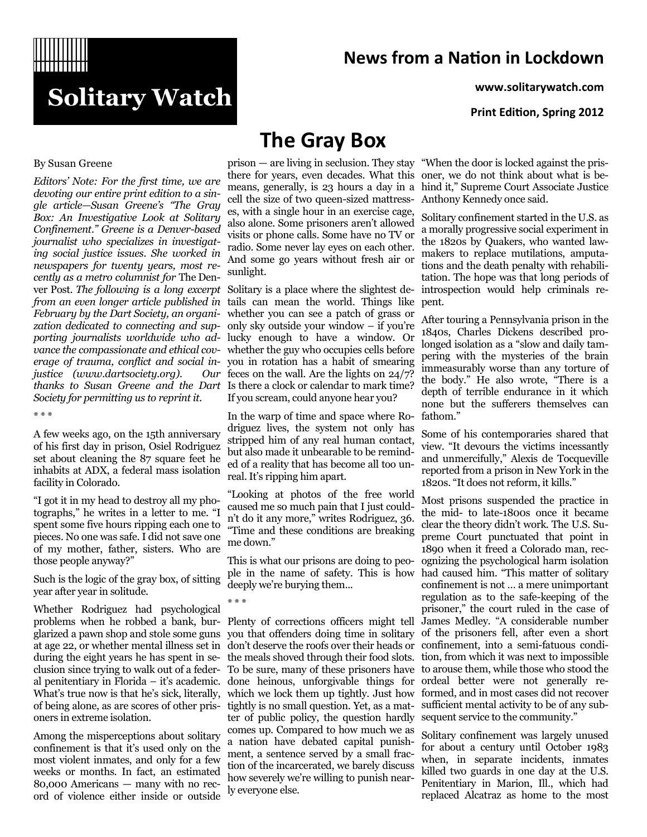# **Solitary Watch**

### **News from a Nation in Lockdown**

**www.solitarywatch.com**

**Print Edition, Spring 2012**

#### By Susan Greene

*Editors' Note: For the first time, we are devoting our entire print edition to a single article—Susan Greene's "The Gray Box: An Investigative Look at Solitary Confinement." Greene is a Denver-based journalist who specializes in investigating social justice issues. She worked in newspapers for twenty years, most recently as a metro columnist for* The Denver Post. *The following is a long excerpt*  Solitary is a place where the slightest de*from an even longer article published in*  tails can mean the world. Things like *February by the Dart Society, an organi-*whether you can see a patch of grass or *zation dedicated to connecting and supporting journalists worldwide who advance the compassionate and ethical cov-*whether the guy who occupies cells before *erage of trauma, conflict and social in-*you in rotation has a habit of smearing *justice (www.dartsociety.org). Our thanks to Susan Greene and the Dart*  Is there a clock or calendar to mark time? *Society for permitting us to reprint it.*

\* \* \*

A few weeks ago, on the 15th anniversary of his first day in prison, Osiel Rodriguez set about cleaning the 87 square feet he inhabits at ADX, a federal mass isolation facility in Colorado.

"I got it in my head to destroy all my photographs," he writes in a letter to me. "I spent some five hours ripping each one to pieces. No one was safe. I did not save one of my mother, father, sisters. Who are those people anyway?"

Such is the logic of the gray box, of sitting year after year in solitude.

Whether Rodriguez had psychological problems when he robbed a bank, bur-Plenty of corrections officers might tell glarized a pawn shop and stole some guns you that offenders doing time in solitary at age 22, or whether mental illness set in don't deserve the roofs over their heads or during the eight years he has spent in seclusion since trying to walk out of a feder-To be sure, many of these prisoners have al penitentiary in Florida – it's academic. done heinous, unforgivable things for of being alone, as are scores of other pris-tightly is no small question. Yet, as a matoners in extreme isolation.

Among the misperceptions about solitary confinement is that it's used only on the most violent inmates, and only for a few weeks or months. In fact, an estimated 80,000 Americans — many with no record of violence either inside or outside

# **The Gray Box**

cell the size of two queen-sized mattresses, with a single hour in an exercise cage, also alone. Some prisoners aren't allowed visits or phone calls. Some have no TV or radio. Some never lay eyes on each other. And some go years without fresh air or sunlight.

only sky outside your window – if you're lucky enough to have a window. Or feces on the wall. Are the lights on 24/7? If you scream, could anyone hear you?

In the warp of time and space where Rodriguez lives, the system not only has stripped him of any real human contact, but also made it unbearable to be reminded of a reality that has become all too unreal. It's ripping him apart.

"Looking at photos of the free world caused me so much pain that I just couldn't do it any more," writes Rodriguez, 36. "Time and these conditions are breaking me down."

This is what our prisons are doing to people in the name of safety. This is how deeply we're burying them...

\* \* \*

the meals shoved through their food slots. ter of public policy, the question hardly comes up. Compared to how much we as a nation have debated capital punishment, a sentence served by a small fraction of the incarcerated, we barely discuss how severely we're willing to punish nearly everyone else.

prison — are living in seclusion. They stay "When the door is locked against the pristhere for years, even decades. What this oner, we do not think about what is bemeans, generally, is 23 hours a day in a hind it," Supreme Court Associate Justice Anthony Kennedy once said.

> Solitary confinement started in the U.S. as a morally progressive social experiment in the 1820s by Quakers, who wanted lawmakers to replace mutilations, amputations and the death penalty with rehabilitation. The hope was that long periods of introspection would help criminals repent.

> After touring a Pennsylvania prison in the 1840s, Charles Dickens described prolonged isolation as a "slow and daily tampering with the mysteries of the brain immeasurably worse than any torture of the body." He also wrote, "There is a depth of terrible endurance in it which none but the sufferers themselves can fathom."

> Some of his contemporaries shared that view. "It devours the victims incessantly and unmercifully," Alexis de Tocqueville reported from a prison in New York in the 1820s. "It does not reform, it kills."

What's true now is that he's sick, literally, which we lock them up tightly. Just how formed, and in most cases did not recover Most prisons suspended the practice in the mid- to late-1800s once it became clear the theory didn't work. The U.S. Supreme Court punctuated that point in 1890 when it freed a Colorado man, recognizing the psychological harm isolation had caused him. "This matter of solitary confinement is not … a mere unimportant regulation as to the safe-keeping of the prisoner," the court ruled in the case of James Medley. "A considerable number of the prisoners fell, after even a short confinement, into a semi-fatuous condition, from which it was next to impossible to arouse them, while those who stood the ordeal better were not generally resufficient mental activity to be of any subsequent service to the community."

> Solitary confinement was largely unused for about a century until October 1983 when, in separate incidents, inmates killed two guards in one day at the U.S. Penitentiary in Marion, Ill., which had replaced Alcatraz as home to the most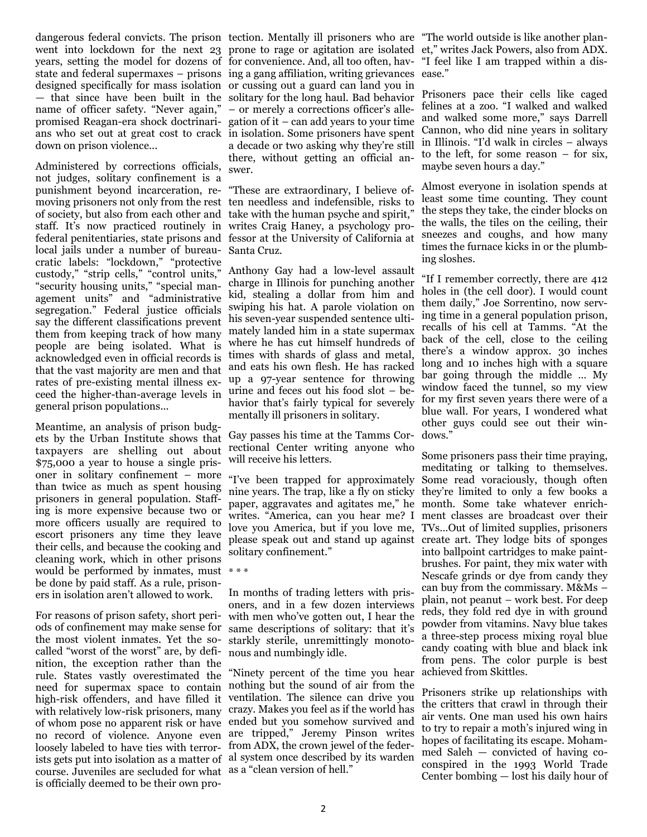name of officer safety. "Never again," – or merely a corrections officer's alledown on prison violence...

Administered by corrections officials, not judges, solitary confinement is a punishment beyond incarceration, re-"These are extraordinary, I believe ofmoving prisoners not only from the rest ten needless and indefensible, risks to of society, but also from each other and take with the human psyche and spirit," staff. It's now practiced routinely in writes Craig Haney, a psychology profederal penitentiaries, state prisons and fessor at the University of California at local jails under a number of bureau-Santa Cruz. cratic labels: "lockdown," "protective custody," "strip cells," "control units," "security housing units," "special management units" and "administrative segregation." Federal justice officials say the different classifications prevent them from keeping track of how many people are being isolated. What is acknowledged even in official records is that the vast majority are men and that rates of pre-existing mental illness exceed the higher-than-average levels in urine and feces out his food slot – begeneral prison populations...

Meantime, an analysis of prison budgets by the Urban Institute shows that taxpayers are shelling out about \$75,000 a year to house a single prisoner in solitary confinement – more than twice as much as spent housing prisoners in general population. Staffing is more expensive because two or more officers usually are required to escort prisoners any time they leave their cells, and because the cooking and cleaning work, which in other prisons would be performed by inmates, must \* \* \* be done by paid staff. As a rule, prisoners in isolation aren't allowed to work.

For reasons of prison safety, short periods of confinement may make sense for the most violent inmates. Yet the socalled "worst of the worst" are, by defi-nous and numbingly idle. nition, the exception rather than the rule. States vastly overestimated the need for supermax space to contain nothing but the sound of air from the high-risk offenders, and have filled it ventilation. The silence can drive you with relatively low-risk prisoners, many crazy. Makes you feel as if the world has of whom pose no apparent risk or have ended but you somehow survived and no record of violence. Anyone even are tripped," Jeremy Pinson writes loosely labeled to have ties with terror- from ADX, the crown jewel of the federists gets put into isolation as a matter of al system once described by its warden course. Juveniles are secluded for what as a "clean version of hell." is officially deemed to be their own pro-

dangerous federal convicts. The prison tection. Mentally ill prisoners who are "The world outside is like another planwent into lockdown for the next 23 prone to rage or agitation are isolated et," writes Jack Powers, also from ADX. years, setting the model for dozens of for convenience. And, all too often, hav-"I feel like I am trapped within a disstate and federal supermaxes – prisons ing a gang affiliation, writing grievances ease." designed specifically for mass isolation or cussing out a guard can land you in — that since have been built in the solitary for the long haul. Bad behavior promised Reagan-era shock doctrinari-gation of it – can add years to your time ans who set out at great cost to crack in isolation. Some prisoners have spent a decade or two asking why they're still there, without getting an official answer.

Anthony Gay had a low-level assault charge in Illinois for punching another kid, stealing a dollar from him and swiping his hat. A parole violation on his seven-year suspended sentence ultimately landed him in a state supermax where he has cut himself hundreds of times with shards of glass and metal, and eats his own flesh. He has racked up a 97-year sentence for throwing havior that's fairly typical for severely mentally ill prisoners in solitary.

Gay passes his time at the Tamms Correctional Center writing anyone who will receive his letters.

"I've been trapped for approximately nine years. The trap, like a fly on sticky they're limited to only a few books a paper, aggravates and agitates me," he month. Some take whatever enrichwrites. "America, can you hear me? I ment classes are broadcast over their love you America, but if you love me, TVs…Out of limited supplies, prisoners please speak out and stand up against create art. They lodge bits of sponges solitary confinement."

In months of trading letters with prisoners, and in a few dozen interviews with men who've gotten out, I hear the same descriptions of solitary: that it's starkly sterile, unremittingly monoto-

"Ninety percent of the time you hear

Prisoners pace their cells like caged felines at a zoo. "I walked and walked and walked some more," says Darrell Cannon, who did nine years in solitary in Illinois. "I'd walk in circles – always to the left, for some reason – for six, maybe seven hours a day."

Almost everyone in isolation spends at least some time counting. They count the steps they take, the cinder blocks on the walls, the tiles on the ceiling, their sneezes and coughs, and how many times the furnace kicks in or the plumbing sloshes.

"If I remember correctly, there are 412 holes in (the cell door). I would count them daily," Joe Sorrentino, now serving time in a general population prison, recalls of his cell at Tamms. "At the back of the cell, close to the ceiling there's a window approx. 30 inches long and 10 inches high with a square bar going through the middle … My window faced the tunnel, so my view for my first seven years there were of a blue wall. For years, I wondered what other guys could see out their windows."

Some prisoners pass their time praying, meditating or talking to themselves. Some read voraciously, though often into ballpoint cartridges to make paintbrushes. For paint, they mix water with Nescafe grinds or dye from candy they can buy from the commissary. M&Ms – plain, not peanut – work best. For deep reds, they fold red dye in with ground powder from vitamins. Navy blue takes a three-step process mixing royal blue candy coating with blue and black ink from pens. The color purple is best achieved from Skittles.

Prisoners strike up relationships with the critters that crawl in through their air vents. One man used his own hairs to try to repair a moth's injured wing in hopes of facilitating its escape. Mohammed Saleh — convicted of having coconspired in the 1993 World Trade Center bombing — lost his daily hour of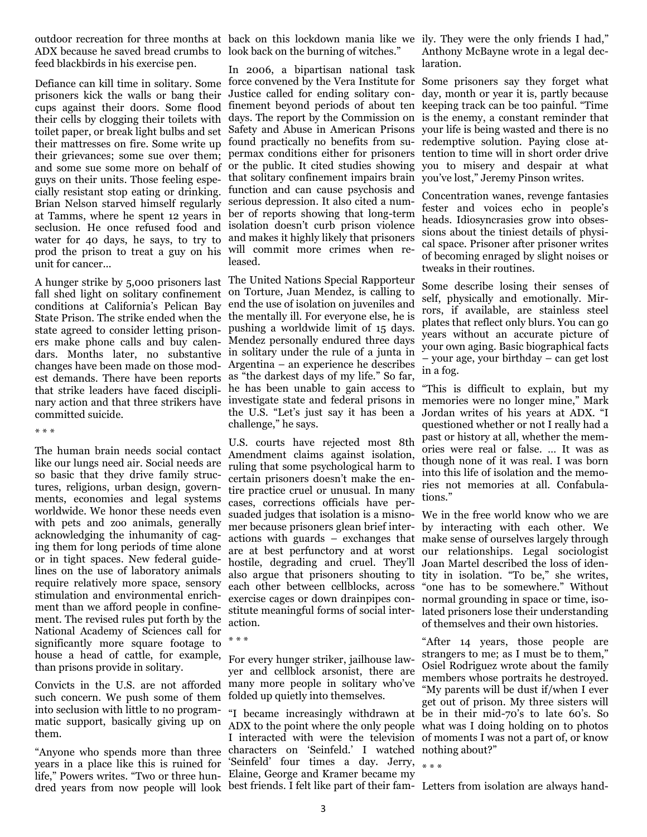outdoor recreation for three months at back on this lockdown mania like we ily. They were the only friends I had," ADX because he saved bread crumbs to look back on the burning of witches." feed blackbirds in his exercise pen.

prisoners kick the walls or bang their cups against their doors. Some flood their cells by clogging their toilets with toilet paper, or break light bulbs and set their mattresses on fire. Some write up found practically no benefits from sutheir grievances; some sue over them; permax conditions either for prisoners and some sue some more on behalf of guys on their units. Those feeling especially resistant stop eating or drinking. Brian Nelson starved himself regularly at Tamms, where he spent 12 years in seclusion. He once refused food and water for 40 days, he says, to try to and makes it highly likely that prisoners prod the prison to treat a guy on his will commit more crimes when reunit for cancer...

fall shed light on solitary confinement conditions at California's Pelican Bay State Prison. The strike ended when the state agreed to consider letting prisoners make phone calls and buy calendars. Months later, no substantive in solitary under the rule of a junta in changes have been made on those modest demands. There have been reports that strike leaders have faced disciplinary action and that three strikers have investigate state and federal prisons in committed suicide.

\* \* \*

The human brain needs social contact like our lungs need air. Social needs are so basic that they drive family structures, religions, urban design, governments, economies and legal systems worldwide. We honor these needs even with pets and zoo animals, generally acknowledging the inhumanity of caging them for long periods of time alone or in tight spaces. New federal guidelines on the use of laboratory animals require relatively more space, sensory stimulation and environmental enrichment than we afford people in confinement. The revised rules put forth by the National Academy of Sciences call for significantly more square footage to house a head of cattle, for example, For every hunger striker, jailhouse lawthan prisons provide in solitary.

such concern. We push some of them into seclusion with little to no programmatic support, basically giving up on them.

years in a place like this is ruined for

Defiance can kill time in solitary. Some force convened by the Vera Institute for Some prisoners say they forget what In 2006, a bipartisan national task Justice called for ending solitary confinement beyond periods of about ten days. The report by the Commission on Safety and Abuse in American Prisons or the public. It cited studies showing that solitary confinement impairs brain function and can cause psychosis and serious depression. It also cited a number of reports showing that long-term isolation doesn't curb prison violence leased.

A hunger strike by 5,000 prisoners last The United Nations Special Rapporteur on Torture, Juan Mendez, is calling to end the use of isolation on juveniles and the mentally ill. For everyone else, he is pushing a worldwide limit of 15 days. Mendez personally endured three days Argentina – an experience he describes as "the darkest days of my life." So far, he has been unable to gain access to the U.S. "Let's just say it has been a challenge," he says.

> U.S. courts have rejected most 8th Amendment claims against isolation, ruling that some psychological harm to certain prisoners doesn't make the entire practice cruel or unusual. In many cases, corrections officials have persuaded judges that isolation is a misnomer because prisoners glean brief interare at best perfunctory and at worst hostile, degrading and cruel. They'll also argue that prisoners shouting to each other between cellblocks, across exercise cages or down drainpipes constitute meaningful forms of social interaction.

\* \* \*

Convicts in the U.S. are not afforded many more people in solitary who've yer and cellblock arsonist, there are folded up quietly into themselves.

"Anyone who spends more than three characters on 'Seinfeld.' I watched nothing about?" life," Powers writes. "Two or three hun-Elaine, George and Kramer became my dred years from now people will look best friends. I felt like part of their fam-Letters from isolation are always hand-"I became increasingly withdrawn at ADX to the point where the only people what was I doing holding on to photos I interacted with were the television of moments I was not a part of, or know 'Seinfeld' four times a day. Jerry,  $\begin{array}{c} * \ * \ * \end{array}$ 

Anthony McBayne wrote in a legal declaration.

day, month or year it is, partly because keeping track can be too painful. "Time is the enemy, a constant reminder that your life is being wasted and there is no redemptive solution. Paying close attention to time will in short order drive you to misery and despair at what you've lost," Jeremy Pinson writes.

Concentration wanes, revenge fantasies fester and voices echo in people's heads. Idiosyncrasies grow into obsessions about the tiniest details of physical space. Prisoner after prisoner writes of becoming enraged by slight noises or tweaks in their routines.

Some describe losing their senses of self, physically and emotionally. Mirrors, if available, are stainless steel plates that reflect only blurs. You can go years without an accurate picture of your own aging. Basic biographical facts – your age, your birthday – can get lost in a fog.

"This is difficult to explain, but my memories were no longer mine," Mark Jordan writes of his years at ADX. "I questioned whether or not I really had a past or history at all, whether the memories were real or false. … It was as though none of it was real. I was born into this life of isolation and the memories not memories at all. Confabulations."

actions with guards – exchanges that make sense of ourselves largely through We in the free world know who we are by interacting with each other. We our relationships. Legal sociologist Joan Martel described the loss of identity in isolation. "To be," she writes, "one has to be somewhere." Without normal grounding in space or time, isolated prisoners lose their understanding of themselves and their own histories.

> "After 14 years, those people are strangers to me; as I must be to them," Osiel Rodriguez wrote about the family members whose portraits he destroyed. "My parents will be dust if/when I ever get out of prison. My three sisters will be in their mid-70's to late 60's. So